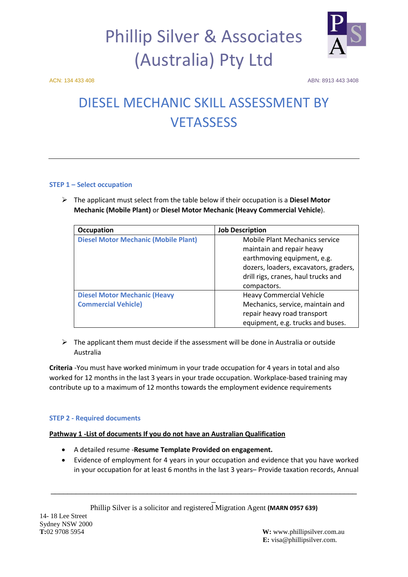

ACN: 134 433 408 ABN: 8913 443 3408

### DIESEL MECHANIC SKILL ASSESSMENT BY **VETASSESS**

### **STEP 1 – Select occupation**

 The applicant must select from the table below if their occupation is a **Diesel Motor Mechanic (Mobile Plant)** or **Diesel Motor Mechanic (Heavy Commercial Vehicle**).

| Occupation                                  | <b>Job Description</b>                |
|---------------------------------------------|---------------------------------------|
| <b>Diesel Motor Mechanic (Mobile Plant)</b> | <b>Mobile Plant Mechanics service</b> |
|                                             | maintain and repair heavy             |
|                                             | earthmoving equipment, e.g.           |
|                                             | dozers, loaders, excavators, graders, |
|                                             | drill rigs, cranes, haul trucks and   |
|                                             | compactors.                           |
| <b>Diesel Motor Mechanic (Heavy</b>         | <b>Heavy Commercial Vehicle</b>       |
| <b>Commercial Vehicle)</b>                  | Mechanics, service, maintain and      |
|                                             | repair heavy road transport           |
|                                             | equipment, e.g. trucks and buses.     |

 $\triangleright$  The applicant them must decide if the assessment will be done in Australia or outside Australia

**Criteria** -You must have worked minimum in your trade occupation for 4 years in total and also worked for 12 months in the last 3 years in your trade occupation. Workplace-based training may contribute up to a maximum of 12 months towards the employment evidence requirements

### **STEP 2 - Required documents**

### **Pathway 1 -List of documents If you do not have an Australian Qualification**

- A detailed resume -**Resume Template Provided on engagement.**
- Evidence of employment for 4 years in your occupation and evidence that you have worked in your occupation for at least 6 months in the last 3 years– Provide taxation records, Annual

\_\_\_\_\_\_\_\_\_\_\_\_\_\_\_\_\_\_\_\_\_\_\_\_\_\_\_\_\_\_\_\_\_\_\_\_\_\_\_\_\_\_\_\_\_\_\_\_\_\_\_\_\_\_\_\_\_\_\_\_\_\_\_\_\_\_\_\_\_\_\_\_\_ \_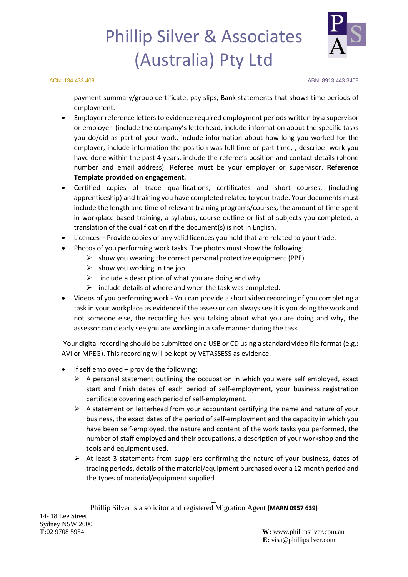

ACN: 134 433 408 ABN: 8913 443 3408

payment summary/group certificate, pay slips, Bank statements that shows time periods of employment.

- Employer reference letters to evidence required employment periods written by a supervisor or employer (include the company's letterhead, include information about the specific tasks you do/did as part of your work, include information about how long you worked for the employer, include information the position was full time or part time, , describe work you have done within the past 4 years, include the referee's position and contact details (phone number and email address). Referee must be your employer or supervisor. **Reference Template provided on engagement.**
- Certified copies of trade qualifications, certificates and short courses, (including apprenticeship) and training you have completed related to your trade. Your documents must include the length and time of relevant training programs/courses, the amount of time spent in workplace-based training, a syllabus, course outline or list of subjects you completed, a translation of the qualification if the document(s) is not in English.
- Licences Provide copies of any valid licences you hold that are related to your trade.
- Photos of you performing work tasks. The photos must show the following:
	- $\triangleright$  show you wearing the correct personal protective equipment (PPE)
	- $\triangleright$  show you working in the job
	- $\triangleright$  include a description of what you are doing and why
	- $\triangleright$  include details of where and when the task was completed.
- Videos of you performing work You can provide a short video recording of you completing a task in your workplace as evidence if the assessor can always see it is you doing the work and not someone else, the recording has you talking about what you are doing and why, the assessor can clearly see you are working in a safe manner during the task.

Your digital recording should be submitted on a USB or CD using a standard video file format (e.g.: AVI or MPEG). This recording will be kept by VETASSESS as evidence.

- If self employed  $-$  provide the following:
	- $\triangleright$  A personal statement outlining the occupation in which you were self employed, exact start and finish dates of each period of self-employment, your business registration certificate covering each period of self-employment.
	- $\triangleright$  A statement on letterhead from your accountant certifying the name and nature of your business, the exact dates of the period of self-employment and the capacity in which you have been self-employed, the nature and content of the work tasks you performed, the number of staff employed and their occupations, a description of your workshop and the tools and equipment used.
	- $\triangleright$  At least 3 statements from suppliers confirming the nature of your business, dates of trading periods, details of the material/equipment purchased over a 12-month period and the types of material/equipment supplied

\_\_\_\_\_\_\_\_\_\_\_\_\_\_\_\_\_\_\_\_\_\_\_\_\_\_\_\_\_\_\_\_\_\_\_\_\_\_\_\_\_\_\_\_\_\_\_\_\_\_\_\_\_\_\_\_\_\_\_\_\_\_\_\_\_\_\_\_\_\_\_\_\_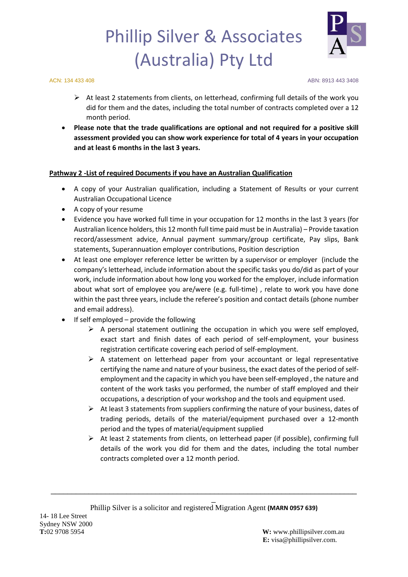

ACN: 134 433 408 ABN: 8913 443 3408

- $\triangleright$  At least 2 statements from clients, on letterhead, confirming full details of the work you did for them and the dates, including the total number of contracts completed over a 12 month period.
- **Please note that the trade qualifications are optional and not required for a positive skill assessment provided you can show work experience for total of 4 years in your occupation and at least 6 months in the last 3 years.**

### **Pathway 2 -List of required Documents if you have an Australian Qualification**

- A copy of your Australian qualification, including a Statement of Results or your current Australian Occupational Licence
- A copy of your resume
- Evidence you have worked full time in your occupation for 12 months in the last 3 years (for Australian licence holders, this 12 month full time paid must be in Australia) – Provide taxation record/assessment advice, Annual payment summary/group certificate, Pay slips, Bank statements, Superannuation employer contributions, Position description
- At least one employer reference letter be written by a supervisor or employer (include the company's letterhead, include information about the specific tasks you do/did as part of your work, include information about how long you worked for the employer, include information about what sort of employee you are/were (e.g. full-time) , relate to work you have done within the past three years, include the referee's position and contact details (phone number and email address).
- If self employed provide the following
	- $\triangleright$  A personal statement outlining the occupation in which you were self employed, exact start and finish dates of each period of self-employment, your business registration certificate covering each period of self-employment.
	- $\triangleright$  A statement on letterhead paper from your accountant or legal representative certifying the name and nature of your business, the exact dates of the period of selfemployment and the capacity in which you have been self-employed , the nature and content of the work tasks you performed, the number of staff employed and their occupations, a description of your workshop and the tools and equipment used.
	- $\triangleright$  At least 3 statements from suppliers confirming the nature of your business, dates of trading periods, details of the material/equipment purchased over a 12-month period and the types of material/equipment supplied
	- $\triangleright$  At least 2 statements from clients, on letterhead paper (if possible), confirming full details of the work you did for them and the dates, including the total number contracts completed over a 12 month period.

\_\_\_\_\_\_\_\_\_\_\_\_\_\_\_\_\_\_\_\_\_\_\_\_\_\_\_\_\_\_\_\_\_\_\_\_\_\_\_\_\_\_\_\_\_\_\_\_\_\_\_\_\_\_\_\_\_\_\_\_\_\_\_\_\_\_\_\_\_\_\_\_\_ \_